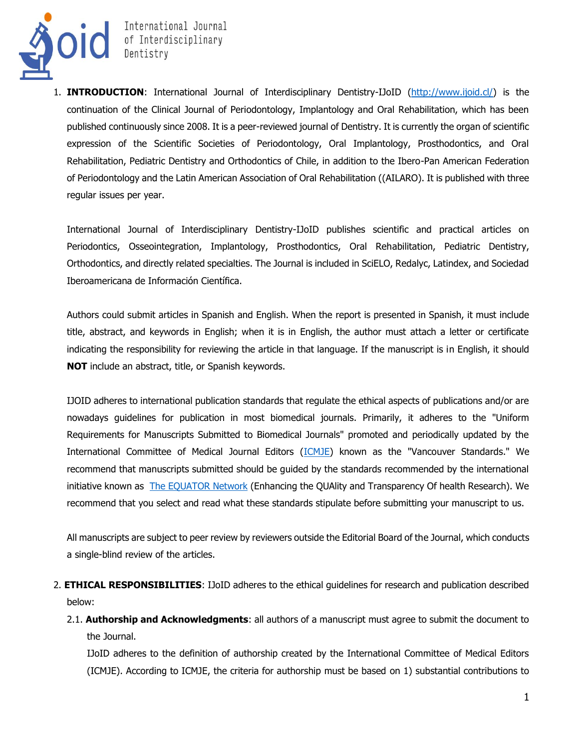

**OIC** International Journal<br>
Dentistry

1. **INTRODUCTION**: International Journal of Interdisciplinary Dentistry-IJoID [\(http://www.ijoid.cl/\)](http://www.ijoid.cl/) is the continuation of the Clinical Journal of Periodontology, Implantology and Oral Rehabilitation, which has been published continuously since 2008. It is a peer-reviewed journal of Dentistry. It is currently the organ of scientific expression of the Scientific Societies of Periodontology, Oral Implantology, Prosthodontics, and Oral Rehabilitation, Pediatric Dentistry and Orthodontics of Chile, in addition to the Ibero-Pan American Federation of Periodontology and the Latin American Association of Oral Rehabilitation ((AILARO). It is published with three regular issues per year.

International Journal of Interdisciplinary Dentistry-IJoID publishes scientific and practical articles on Periodontics, Osseointegration, Implantology, Prosthodontics, Oral Rehabilitation, Pediatric Dentistry, Orthodontics, and directly related specialties. The Journal is included in SciELO, Redalyc, Latindex, and Sociedad Iberoamericana de Información Científica.

Authors could submit articles in Spanish and English. When the report is presented in Spanish, it must include title, abstract, and keywords in English; when it is in English, the author must attach a letter or certificate indicating the responsibility for reviewing the article in that language. If the manuscript is in English, it should **NOT** include an abstract, title, or Spanish keywords.

IJOID adheres to international publication standards that regulate the ethical aspects of publications and/or are nowadays guidelines for publication in most biomedical journals. Primarily, it adheres to the "Uniform Requirements for Manuscripts Submitted to Biomedical Journals" promoted and periodically updated by the International Committee of Medical Journal Editors [\(ICMJE\)](http://www.icmje.org/) known as the "Vancouver Standards." We recommend that manuscripts submitted should be guided by the standards recommended by the international initiative known as [The EQUATOR Network](https://www.equator-network.org/reporting-guidelines/right-statement/) (Enhancing the QUAlity and Transparency Of health Research). We recommend that you select and read what these standards stipulate before submitting your manuscript to us.

All manuscripts are subject to peer review by reviewers outside the Editorial Board of the Journal, which conducts a single-blind review of the articles.

- 2. **ETHICAL RESPONSIBILITIES**: IJoID adheres to the ethical guidelines for research and publication described below:
	- 2.1. **Authorship and Acknowledgments**: all authors of a manuscript must agree to submit the document to the Journal.

IJoID adheres to the definition of authorship created by the International Committee of Medical Editors (ICMJE). According to ICMJE, the criteria for authorship must be based on 1) substantial contributions to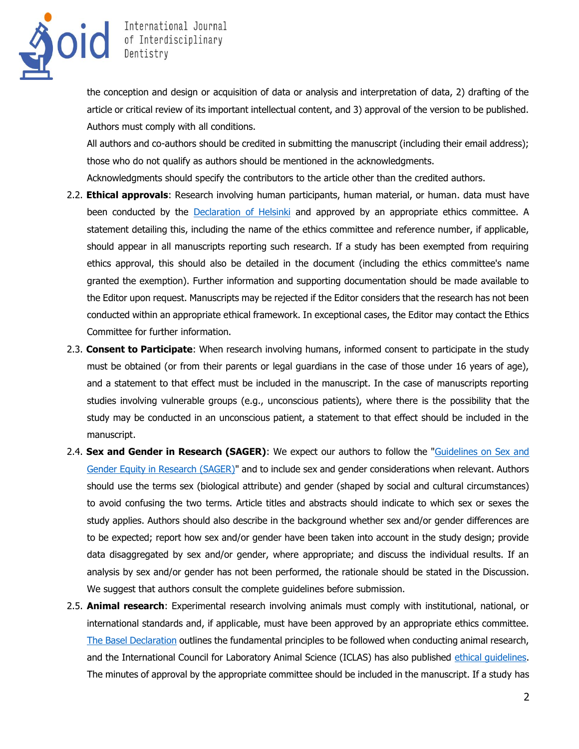

the conception and design or acquisition of data or analysis and interpretation of data, 2) drafting of the article or critical review of its important intellectual content, and 3) approval of the version to be published. Authors must comply with all conditions.

All authors and co-authors should be credited in submitting the manuscript (including their email address); those who do not qualify as authors should be mentioned in the acknowledgments.

Acknowledgments should specify the contributors to the article other than the credited authors.

- 2.2. **Ethical approvals**: Research involving human participants, human material, or human. data must have been conducted by the [Declaration of Helsinki](https://www.wma.net/policies-post/wma-declaration-of-helsinki-ethical-principles-for-medical-research-involving-human-subjects/) and approved by an appropriate ethics committee. A statement detailing this, including the name of the ethics committee and reference number, if applicable, should appear in all manuscripts reporting such research. If a study has been exempted from requiring ethics approval, this should also be detailed in the document (including the ethics committee's name granted the exemption). Further information and supporting documentation should be made available to the Editor upon request. Manuscripts may be rejected if the Editor considers that the research has not been conducted within an appropriate ethical framework. In exceptional cases, the Editor may contact the Ethics Committee for further information.
- 2.3. **Consent to Participate**: When research involving humans, informed consent to participate in the study must be obtained (or from their parents or legal guardians in the case of those under 16 years of age), and a statement to that effect must be included in the manuscript. In the case of manuscripts reporting studies involving vulnerable groups (e.g., unconscious patients), where there is the possibility that the study may be conducted in an unconscious patient, a statement to that effect should be included in the manuscript.
- 2.4. **Sex and Gender in Research (SAGER)**: We expect our authors to follow the ["Guidelines on Sex and](https://researchintegrityjournal.biomedcentral.com/articles/10.1186/s41073-016-0007-6)  [Gender Equity in Research \(SAGER\)"](https://researchintegrityjournal.biomedcentral.com/articles/10.1186/s41073-016-0007-6) and to include sex and gender considerations when relevant. Authors should use the terms sex (biological attribute) and gender (shaped by social and cultural circumstances) to avoid confusing the two terms. Article titles and abstracts should indicate to which sex or sexes the study applies. Authors should also describe in the background whether sex and/or gender differences are to be expected; report how sex and/or gender have been taken into account in the study design; provide data disaggregated by sex and/or gender, where appropriate; and discuss the individual results. If an analysis by sex and/or gender has not been performed, the rationale should be stated in the Discussion. We suggest that authors consult the complete guidelines before submission.
- 2.5. **Animal research**: Experimental research involving animals must comply with institutional, national, or international standards and, if applicable, must have been approved by an appropriate ethics committee. [The Basel Declaration](https://www.basel-declaration.org/basel-declaration/) outlines the fundamental principles to be followed when conducting animal research, and the International Council for Laboratory Animal Science (ICLAS) has also published [ethical guidelines.](https://iclas.org/guidelines-for-researchers/) The minutes of approval by the appropriate committee should be included in the manuscript. If a study has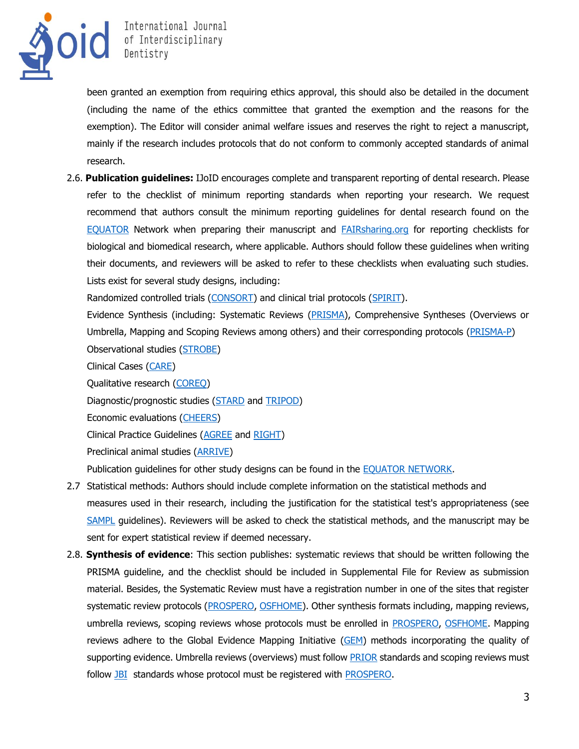

International Journal<br>
OIC Dentistry<br>
Dentistry

been granted an exemption from requiring ethics approval, this should also be detailed in the document (including the name of the ethics committee that granted the exemption and the reasons for the exemption). The Editor will consider animal welfare issues and reserves the right to reject a manuscript, mainly if the research includes protocols that do not conform to commonly accepted standards of animal research.

2.6. **Publication guidelines:** IJoID encourages complete and transparent reporting of dental research. Please refer to the checklist of minimum reporting standards when reporting your research. We request recommend that authors consult the minimum reporting guidelines for dental research found on the [EQUATOR](https://www.equator-network.org/reporting-guidelines/sampl/) Network when preparing their manuscript and [FAIRsharing.org](https://fairsharing.org/) for reporting checklists for biological and biomedical research, where applicable. Authors should follow these guidelines when writing their documents, and reviewers will be asked to refer to these checklists when evaluating such studies. Lists exist for several study designs, including:

Randomized controlled trials [\(CONSORT\)](http://www.consort-statement.org/downloads) and clinical trial protocols [\(SPIRIT\)](https://www.spirit-statement.org/).

Evidence Synthesis (including: Systematic Reviews [\(PRISMA\)](http://www.prisma-statement.org/), Comprehensive Syntheses (Overviews or Umbrella, Mapping and Scoping Reviews among others) and their corresponding protocols [\(PRISMA-P\)](https://www.equator-network.org/reporting-guidelines/prisma-protocols/) Observational studies [\(STROBE\)](https://www.strobe-statement.org/index.php?id=strobe-home)

Clinical Cases [\(CARE\)](https://www.care-statement.org/)

Qualitative research [\(COREQ\)](https://academic.oup.com/intqhc/article/19/6/349/1791966)

Diagnostic/prognostic studies [\(STARD](https://www.equator-network.org/reporting-guidelines/stard/) and [TRIPOD\)](https://www.tripod-statement.org/TRIPOD/TRIPOD-Checklists/TRIPOD-Checklist-Prediction-Model-Development-and-Validation)

Economic evaluations [\(CHEERS\)](https://bmcmedicine.biomedcentral.com/articles/10.1186/1741-7015-11-80)

Clinical Practice Guidelines [\(AGREE](https://www.equator-network.org/reporting-guidelines/the-agree-reporting-checklist-a-tool-to-improve-reporting-of-clinical-practice-guidelines/) and [RIGHT\)](https://www.equator-network.org/reporting-guidelines/right-statement/)

Preclinical animal studies [\(ARRIVE\)](https://arriveguidelines.org/)

Publication guidelines for other study designs can be found in the [EQUATOR NETWORK.](https://www.equator-network.org/reporting-guidelines/stard/)

- 2.7 Statistical methods: Authors should include complete information on the statistical methods and measures used in their research, including the justification for the statistical test's appropriateness (see [SAMPL](https://www.equator-network.org/reporting-guidelines/sampl/) guidelines). Reviewers will be asked to check the statistical methods, and the manuscript may be sent for expert statistical review if deemed necessary.
- 2.8. **Synthesis of evidence**: This section publishes: systematic reviews that should be written following the PRISMA guideline, and the checklist should be included in Supplemental File for Review as submission material. Besides, the Systematic Review must have a registration number in one of the sites that register systematic review protocols [\(PROSPERO,](https://www.crd.york.ac.uk/PROSPERO/) [OSFHOME\)](https://osf.io/). Other synthesis formats including, mapping reviews, umbrella reviews, scoping reviews whose protocols must be enrolled in [PROSPERO,](https://www.crd.york.ac.uk/PROSPERO/) [OSFHOME.](https://osf.io/) Mapping reviews adhere to the Global Evidence Mapping Initiative [\(GEM\)](https://doi.org/10.1186/1471-2288-11-92) methods incorporating the quality of supporting evidence. Umbrella reviews (overviews) must follow [PRIOR](https://doi.org/10.1186/s13643-019-1252-9) standards and scoping reviews must follow [JBI](https://jbi.global/scoping-review-network/resources) standards whose protocol must be registered with [PROSPERO.](https://www.crd.york.ac.uk/PROSPERO/)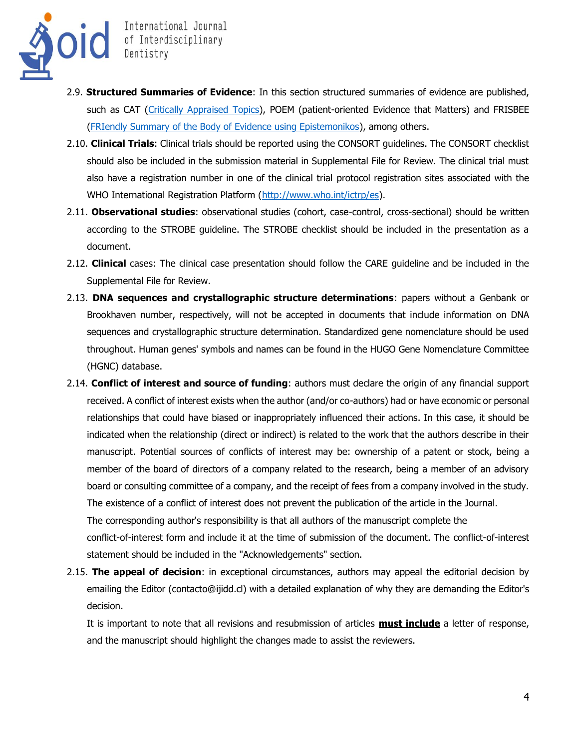

International Journal<br>
O
C
Interdisciplinary
Dentistry
The Sentistry
Solid Sentistry
Solid Sentistry
Solid Sentistry
Solid Sentistry
Solid Sentistry
Solid Sentistry
Solid Sentistry
Solid Sentistry
Solid Sentistry
Solid Sen

- 2.9. **Structured Summaries of Evidence**: In this section structured summaries of evidence are published, such as CAT [\(Critically Appraised Topics\)](https://cats.uthscsa.edu/), POEM (patient-oriented Evidence that Matters) and FRISBEE [\(FRIendly Summary of the Body of Evidence using Epistemonikos\)](doi:%2010.5867/medwave.2014.06.5997), among others.
- 2.10. **Clinical Trials**: Clinical trials should be reported using the CONSORT guidelines. The CONSORT checklist should also be included in the submission material in Supplemental File for Review. The clinical trial must also have a registration number in one of the clinical trial protocol registration sites associated with the WHO International Registration Platform [\(http://www.who.int/ictrp/es\)](http://www.who.int/ictrp/es).
- 2.11. **Observational studies**: observational studies (cohort, case-control, cross-sectional) should be written according to the STROBE guideline. The STROBE checklist should be included in the presentation as a document.
- 2.12. **Clinical** cases: The clinical case presentation should follow the CARE guideline and be included in the Supplemental File for Review.
- 2.13. **DNA sequences and crystallographic structure determinations**: papers without a Genbank or Brookhaven number, respectively, will not be accepted in documents that include information on DNA sequences and crystallographic structure determination. Standardized gene nomenclature should be used throughout. Human genes' symbols and names can be found in the HUGO Gene Nomenclature Committee (HGNC) database.
- 2.14. **Conflict of interest and source of funding**: authors must declare the origin of any financial support received. A conflict of interest exists when the author (and/or co-authors) had or have economic or personal relationships that could have biased or inappropriately influenced their actions. In this case, it should be indicated when the relationship (direct or indirect) is related to the work that the authors describe in their manuscript. Potential sources of conflicts of interest may be: ownership of a patent or stock, being a member of the board of directors of a company related to the research, being a member of an advisory board or consulting committee of a company, and the receipt of fees from a company involved in the study. The existence of a conflict of interest does not prevent the publication of the article in the Journal. The corresponding author's responsibility is that all authors of the manuscript complete the conflict-of-interest form and include it at the time of submission of the document. The conflict-of-interest statement should be included in the "Acknowledgements" section.
- 2.15. **The appeal of decision**: in exceptional circumstances, authors may appeal the editorial decision by emailing the Editor (contacto@ijidd.cl) with a detailed explanation of why they are demanding the Editor's decision.

It is important to note that all revisions and resubmission of articles **must include** a letter of response, and the manuscript should highlight the changes made to assist the reviewers.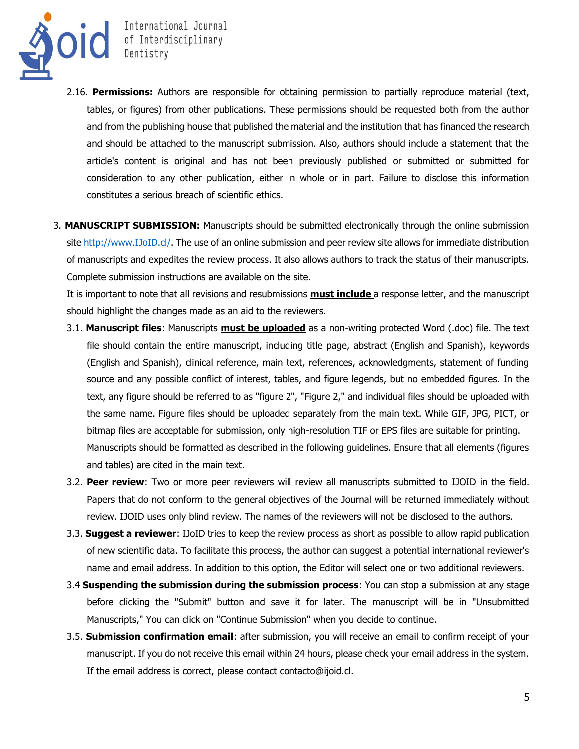

International Journal<br>
OIC Dentistry<br>
Dentistry

- 2.16. **Permissions:** Authors are responsible for obtaining permission to partially reproduce material (text, tables, or figures) from other publications. These permissions should be requested both from the author and from the publishing house that published the material and the institution that has financed the research and should be attached to the manuscript submission. Also, authors should include a statement that the article's content is original and has not been previously published or submitted or submitted for consideration to any other publication, either in whole or in part. Failure to disclose this information constitutes a serious breach of scientific ethics.
- 3. **MANUSCRIPT SUBMISSION:** Manuscripts should be submitted electronically through the online submission site [http://www.IJoID.cl/.](http://www.ijoid.cl/) The use of an online submission and peer review site allows for immediate distribution of manuscripts and expedites the review process. It also allows authors to track the status of their manuscripts. Complete submission instructions are available on the site.

It is important to note that all revisions and resubmissions **must include** a response letter, and the manuscript should highlight the changes made as an aid to the reviewers.

- 3.1. **Manuscript files**: Manuscripts **must be uploaded** as a non-writing protected Word (.doc) file. The text file should contain the entire manuscript, including title page, abstract (English and Spanish), keywords (English and Spanish), clinical reference, main text, references, acknowledgments, statement of funding source and any possible conflict of interest, tables, and figure legends, but no embedded figures. In the text, any figure should be referred to as "figure 2", "Figure 2," and individual files should be uploaded with the same name. Figure files should be uploaded separately from the main text. While GIF, JPG, PICT, or bitmap files are acceptable for submission, only high-resolution TIF or EPS files are suitable for printing. Manuscripts should be formatted as described in the following guidelines. Ensure that all elements (figures and tables) are cited in the main text.
- 3.2. **Peer review**: Two or more peer reviewers will review all manuscripts submitted to IJOID in the field. Papers that do not conform to the general objectives of the Journal will be returned immediately without review. IJOID uses only blind review. The names of the reviewers will not be disclosed to the authors.
- 3.3. **Suggest a reviewer**: IJoID tries to keep the review process as short as possible to allow rapid publication of new scientific data. To facilitate this process, the author can suggest a potential international reviewer's name and email address. In addition to this option, the Editor will select one or two additional reviewers.
- 3.4 **Suspending the submission during the submission process**: You can stop a submission at any stage before clicking the "Submit" button and save it for later. The manuscript will be in "Unsubmitted Manuscripts," You can click on "Continue Submission" when you decide to continue.
- 3.5. **Submission confirmation email**: after submission, you will receive an email to confirm receipt of your manuscript. If you do not receive this email within 24 hours, please check your email address in the system. If the email address is correct, please contact contacto@ijoid.cl.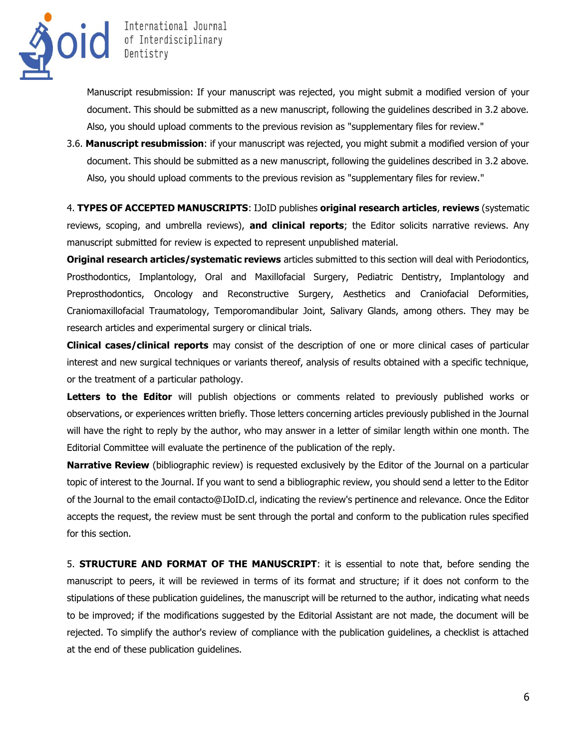

Manuscript resubmission: If your manuscript was rejected, you might submit a modified version of your document. This should be submitted as a new manuscript, following the guidelines described in 3.2 above. Also, you should upload comments to the previous revision as "supplementary files for review."

3.6. **Manuscript resubmission**: if your manuscript was rejected, you might submit a modified version of your document. This should be submitted as a new manuscript, following the guidelines described in 3.2 above. Also, you should upload comments to the previous revision as "supplementary files for review."

4. **TYPES OF ACCEPTED MANUSCRIPTS**: IJoID publishes **original research articles**, **reviews** (systematic reviews, scoping, and umbrella reviews), **and clinical reports**; the Editor solicits narrative reviews. Any manuscript submitted for review is expected to represent unpublished material.

**Original research articles/systematic reviews** articles submitted to this section will deal with Periodontics, Prosthodontics, Implantology, Oral and Maxillofacial Surgery, Pediatric Dentistry, Implantology and Preprosthodontics, Oncology and Reconstructive Surgery, Aesthetics and Craniofacial Deformities, Craniomaxillofacial Traumatology, Temporomandibular Joint, Salivary Glands, among others. They may be research articles and experimental surgery or clinical trials.

**Clinical cases/clinical reports** may consist of the description of one or more clinical cases of particular interest and new surgical techniques or variants thereof, analysis of results obtained with a specific technique, or the treatment of a particular pathology.

**Letters to the Editor** will publish objections or comments related to previously published works or observations, or experiences written briefly. Those letters concerning articles previously published in the Journal will have the right to reply by the author, who may answer in a letter of similar length within one month. The Editorial Committee will evaluate the pertinence of the publication of the reply.

**Narrative Review** (bibliographic review) is requested exclusively by the Editor of the Journal on a particular topic of interest to the Journal. If you want to send a bibliographic review, you should send a letter to the Editor of the Journal to the email contacto@IJoID.cl, indicating the review's pertinence and relevance. Once the Editor accepts the request, the review must be sent through the portal and conform to the publication rules specified for this section.

5. **STRUCTURE AND FORMAT OF THE MANUSCRIPT**: it is essential to note that, before sending the manuscript to peers, it will be reviewed in terms of its format and structure; if it does not conform to the stipulations of these publication guidelines, the manuscript will be returned to the author, indicating what needs to be improved; if the modifications suggested by the Editorial Assistant are not made, the document will be rejected. To simplify the author's review of compliance with the publication guidelines, a checklist is attached at the end of these publication guidelines.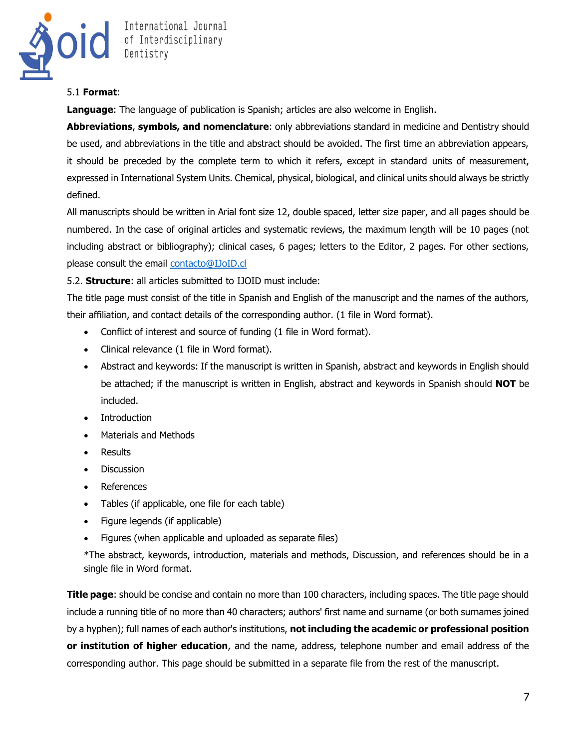

#### 5.1 **Format**:

**Language**: The language of publication is Spanish; articles are also welcome in English.

**Abbreviations**, **symbols, and nomenclature**: only abbreviations standard in medicine and Dentistry should be used, and abbreviations in the title and abstract should be avoided. The first time an abbreviation appears, it should be preceded by the complete term to which it refers, except in standard units of measurement, expressed in International System Units. Chemical, physical, biological, and clinical units should always be strictly defined.

All manuscripts should be written in Arial font size 12, double spaced, letter size paper, and all pages should be numbered. In the case of original articles and systematic reviews, the maximum length will be 10 pages (not including abstract or bibliography); clinical cases, 6 pages; letters to the Editor, 2 pages. For other sections, please consult the email [contacto@IJoID.cl](file:///C:/Users/javm/Documents/Julio%20Documentos/REVISTA%20CIENTÍFICA/International%20Journal%20of%20Interdisciplinary%20Dentistry/contacto@ijoid.cl)

# 5.2. **Structure**: all articles submitted to IJOID must include:

The title page must consist of the title in Spanish and English of the manuscript and the names of the authors, their affiliation, and contact details of the corresponding author. (1 file in Word format).

- Conflict of interest and source of funding (1 file in Word format).
- Clinical relevance (1 file in Word format).
- Abstract and keywords: If the manuscript is written in Spanish, abstract and keywords in English should be attached; if the manuscript is written in English, abstract and keywords in Spanish should **NOT** be included.
- Introduction
- Materials and Methods
- Results
- Discussion
- References
- Tables (if applicable, one file for each table)
- Figure legends (if applicable)
- Figures (when applicable and uploaded as separate files)

\*The abstract, keywords, introduction, materials and methods, Discussion, and references should be in a single file in Word format.

**Title page**: should be concise and contain no more than 100 characters, including spaces. The title page should include a running title of no more than 40 characters; authors' first name and surname (or both surnames joined by a hyphen); full names of each author's institutions, **not including the academic or professional position or institution of higher education**, and the name, address, telephone number and email address of the corresponding author. This page should be submitted in a separate file from the rest of the manuscript.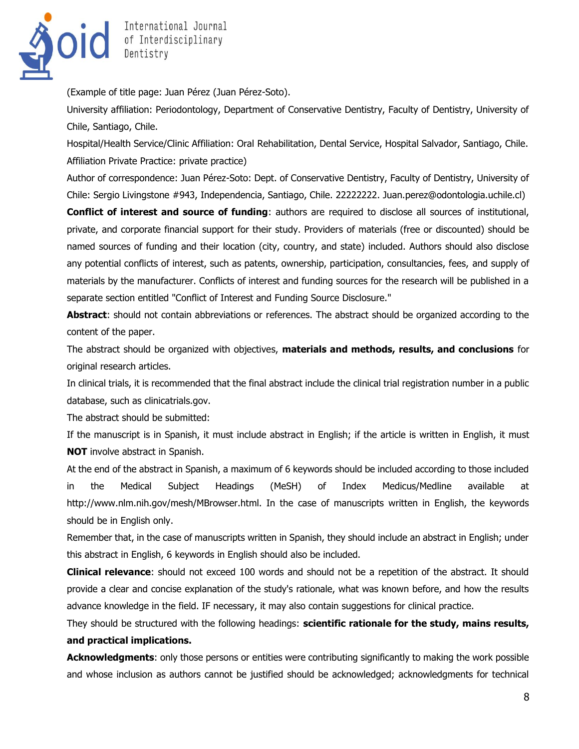

(Example of title page: Juan Pérez (Juan Pérez-Soto).

University affiliation: Periodontology, Department of Conservative Dentistry, Faculty of Dentistry, University of Chile, Santiago, Chile.

Hospital/Health Service/Clinic Affiliation: Oral Rehabilitation, Dental Service, Hospital Salvador, Santiago, Chile. Affiliation Private Practice: private practice)

Author of correspondence: Juan Pérez-Soto: Dept. of Conservative Dentistry, Faculty of Dentistry, University of Chile: Sergio Livingstone #943, Independencia, Santiago, Chile. 22222222. Juan.perez@odontologia.uchile.cl)

**Conflict of interest and source of funding**: authors are required to disclose all sources of institutional, private, and corporate financial support for their study. Providers of materials (free or discounted) should be named sources of funding and their location (city, country, and state) included. Authors should also disclose any potential conflicts of interest, such as patents, ownership, participation, consultancies, fees, and supply of materials by the manufacturer. Conflicts of interest and funding sources for the research will be published in a separate section entitled "Conflict of Interest and Funding Source Disclosure."

**Abstract**: should not contain abbreviations or references. The abstract should be organized according to the content of the paper.

The abstract should be organized with objectives, **materials and methods, results, and conclusions** for original research articles.

In clinical trials, it is recommended that the final abstract include the clinical trial registration number in a public database, such as clinicatrials.gov.

The abstract should be submitted:

If the manuscript is in Spanish, it must include abstract in English; if the article is written in English, it must **NOT** involve abstract in Spanish.

At the end of the abstract in Spanish, a maximum of 6 keywords should be included according to those included in the Medical Subject Headings (MeSH) of Index Medicus/Medline available at http://www.nlm.nih.gov/mesh/MBrowser.html. In the case of manuscripts written in English, the keywords should be in English only.

Remember that, in the case of manuscripts written in Spanish, they should include an abstract in English; under this abstract in English, 6 keywords in English should also be included.

**Clinical relevance**: should not exceed 100 words and should not be a repetition of the abstract. It should provide a clear and concise explanation of the study's rationale, what was known before, and how the results advance knowledge in the field. IF necessary, it may also contain suggestions for clinical practice.

They should be structured with the following headings: **scientific rationale for the study, mains results, and practical implications.** 

**Acknowledgments**: only those persons or entities were contributing significantly to making the work possible and whose inclusion as authors cannot be justified should be acknowledged; acknowledgments for technical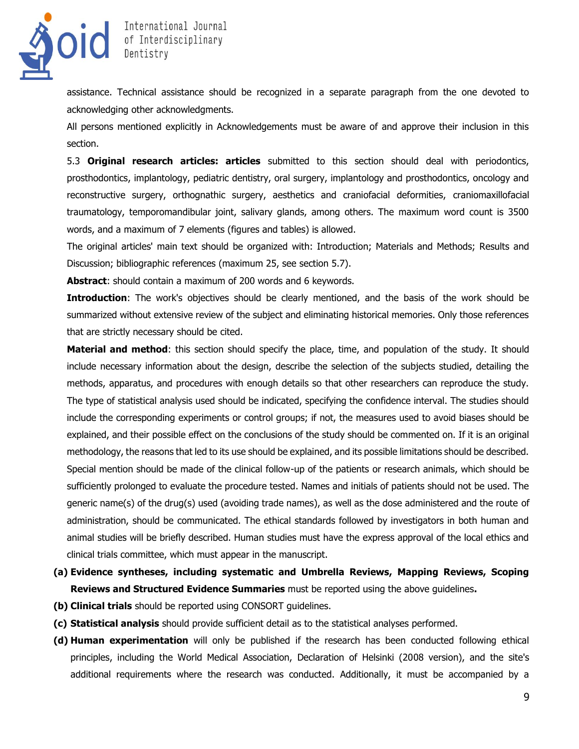

assistance. Technical assistance should be recognized in a separate paragraph from the one devoted to acknowledging other acknowledgments.

All persons mentioned explicitly in Acknowledgements must be aware of and approve their inclusion in this section.

5.3 **Original research articles: articles** submitted to this section should deal with periodontics, prosthodontics, implantology, pediatric dentistry, oral surgery, implantology and prosthodontics, oncology and reconstructive surgery, orthognathic surgery, aesthetics and craniofacial deformities, craniomaxillofacial traumatology, temporomandibular joint, salivary glands, among others. The maximum word count is 3500 words, and a maximum of 7 elements (figures and tables) is allowed.

The original articles' main text should be organized with: Introduction; Materials and Methods; Results and Discussion; bibliographic references (maximum 25, see section 5.7).

**Abstract**: should contain a maximum of 200 words and 6 keywords.

**Introduction**: The work's objectives should be clearly mentioned, and the basis of the work should be summarized without extensive review of the subject and eliminating historical memories. Only those references that are strictly necessary should be cited.

**Material and method**: this section should specify the place, time, and population of the study. It should include necessary information about the design, describe the selection of the subjects studied, detailing the methods, apparatus, and procedures with enough details so that other researchers can reproduce the study. The type of statistical analysis used should be indicated, specifying the confidence interval. The studies should include the corresponding experiments or control groups; if not, the measures used to avoid biases should be explained, and their possible effect on the conclusions of the study should be commented on. If it is an original methodology, the reasons that led to its use should be explained, and its possible limitations should be described. Special mention should be made of the clinical follow-up of the patients or research animals, which should be sufficiently prolonged to evaluate the procedure tested. Names and initials of patients should not be used. The generic name(s) of the drug(s) used (avoiding trade names), as well as the dose administered and the route of administration, should be communicated. The ethical standards followed by investigators in both human and animal studies will be briefly described. Human studies must have the express approval of the local ethics and clinical trials committee, which must appear in the manuscript.

- **(a) Evidence syntheses, including systematic and Umbrella Reviews, Mapping Reviews, Scoping Reviews and Structured Evidence Summaries** must be reported using the above guidelines**.**
- **(b) Clinical trials** should be reported using CONSORT guidelines.
- **(c) Statistical analysis** should provide sufficient detail as to the statistical analyses performed.
- **(d) Human experimentation** will only be published if the research has been conducted following ethical principles, including the World Medical Association, Declaration of Helsinki (2008 version), and the site's additional requirements where the research was conducted. Additionally, it must be accompanied by a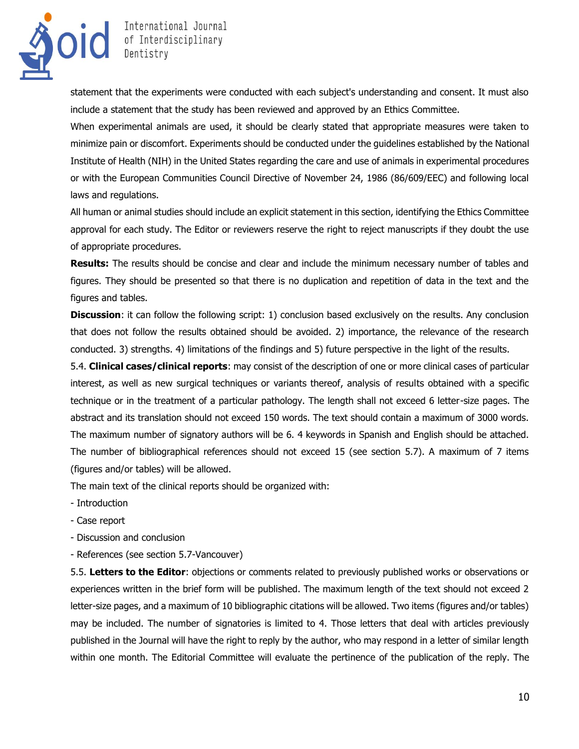

statement that the experiments were conducted with each subject's understanding and consent. It must also include a statement that the study has been reviewed and approved by an Ethics Committee.

When experimental animals are used, it should be clearly stated that appropriate measures were taken to minimize pain or discomfort. Experiments should be conducted under the guidelines established by the National Institute of Health (NIH) in the United States regarding the care and use of animals in experimental procedures or with the European Communities Council Directive of November 24, 1986 (86/609/EEC) and following local laws and regulations.

All human or animal studies should include an explicit statement in this section, identifying the Ethics Committee approval for each study. The Editor or reviewers reserve the right to reject manuscripts if they doubt the use of appropriate procedures.

**Results:** The results should be concise and clear and include the minimum necessary number of tables and figures. They should be presented so that there is no duplication and repetition of data in the text and the figures and tables.

**Discussion:** it can follow the following script: 1) conclusion based exclusively on the results. Any conclusion that does not follow the results obtained should be avoided. 2) importance, the relevance of the research conducted. 3) strengths. 4) limitations of the findings and 5) future perspective in the light of the results.

5.4. **Clinical cases/clinical reports**: may consist of the description of one or more clinical cases of particular interest, as well as new surgical techniques or variants thereof, analysis of results obtained with a specific technique or in the treatment of a particular pathology. The length shall not exceed 6 letter-size pages. The abstract and its translation should not exceed 150 words. The text should contain a maximum of 3000 words. The maximum number of signatory authors will be 6. 4 keywords in Spanish and English should be attached. The number of bibliographical references should not exceed 15 (see section 5.7). A maximum of 7 items (figures and/or tables) will be allowed.

The main text of the clinical reports should be organized with:

- Introduction
- Case report
- Discussion and conclusion
- References (see section 5.7-Vancouver)

5.5. **Letters to the Editor**: objections or comments related to previously published works or observations or experiences written in the brief form will be published. The maximum length of the text should not exceed 2 letter-size pages, and a maximum of 10 bibliographic citations will be allowed. Two items (figures and/or tables) may be included. The number of signatories is limited to 4. Those letters that deal with articles previously published in the Journal will have the right to reply by the author, who may respond in a letter of similar length within one month. The Editorial Committee will evaluate the pertinence of the publication of the reply. The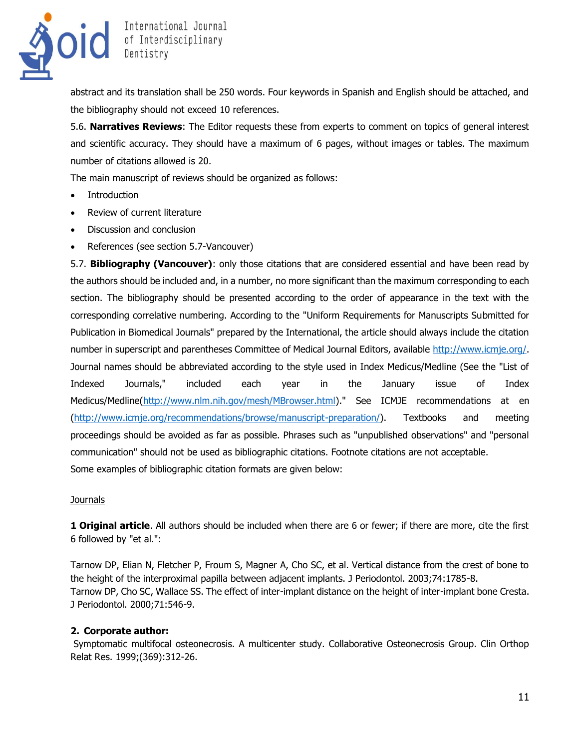

abstract and its translation shall be 250 words. Four keywords in Spanish and English should be attached, and the bibliography should not exceed 10 references.

5.6. **Narratives Reviews**: The Editor requests these from experts to comment on topics of general interest and scientific accuracy. They should have a maximum of 6 pages, without images or tables. The maximum number of citations allowed is 20.

The main manuscript of reviews should be organized as follows:

- Introduction
- Review of current literature
- Discussion and conclusion
- References (see section 5.7-Vancouver)

5.7. **Bibliography (Vancouver)**: only those citations that are considered essential and have been read by the authors should be included and, in a number, no more significant than the maximum corresponding to each section. The bibliography should be presented according to the order of appearance in the text with the corresponding correlative numbering. According to the "Uniform Requirements for Manuscripts Submitted for Publication in Biomedical Journals" prepared by the International, the article should always include the citation number in superscript and parentheses Committee of Medical Journal Editors, available [http://www.icmje.org/.](http://www.icmje.org/) Journal names should be abbreviated according to the style used in Index Medicus/Medline (See the "List of Indexed Journals," included each year in the January issue of Index Medicus/Medline[\(http://www.nlm.nih.gov/mesh/MBrowser.html\)](http://www.nlm.nih.gov/mesh/MBrowser.html)." See ICMJE recommendations at en [\(http://www.icmje.org/recommendations/browse/manuscript-preparation/\)](http://www.icmje.org/recommendations/browse/manuscript-preparation/). Textbooks and meeting proceedings should be avoided as far as possible. Phrases such as "unpublished observations" and "personal communication" should not be used as bibliographic citations. Footnote citations are not acceptable. Some examples of bibliographic citation formats are given below:

#### **Journals**

**1 Original article**. All authors should be included when there are 6 or fewer; if there are more, cite the first 6 followed by "et al.":

Tarnow DP, Elian N, Fletcher P, Froum S, Magner A, Cho SC, et al. Vertical distance from the crest of bone to the height of the interproximal papilla between adjacent implants. J Periodontol. 2003;74:1785-8. Tarnow DP, Cho SC, Wallace SS. The effect of inter-implant distance on the height of inter-implant bone Cresta. J Periodontol. 2000;71:546-9.

# **2. Corporate author:**

Symptomatic multifocal osteonecrosis. A multicenter study. Collaborative Osteonecrosis Group. Clin Orthop Relat Res. 1999;(369):312-26.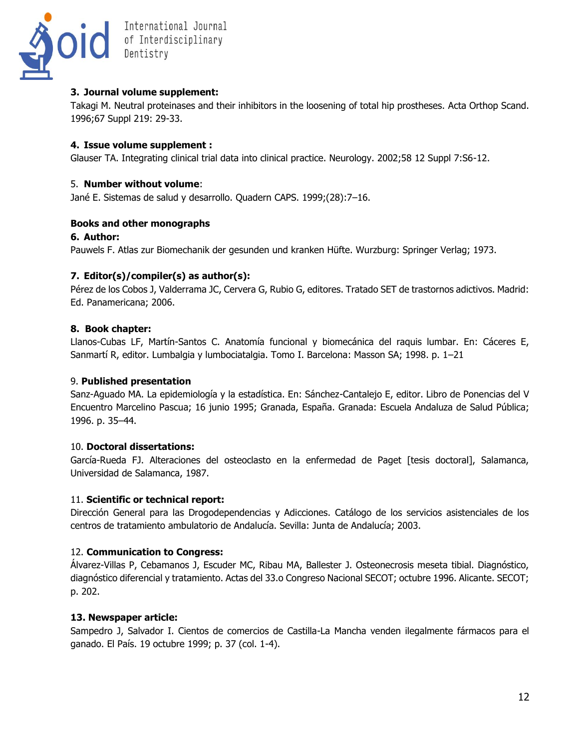

# **3. Journal volume supplement:**

Takagi M. Neutral proteinases and their inhibitors in the loosening of total hip prostheses. Acta Orthop Scand. 1996;67 Suppl 219: 29-33.

# **4. Issue volume supplement :**

Glauser TA. Integrating clinical trial data into clinical practice. Neurology. 2002;58 12 Suppl 7:S6-12.

# 5. **Number without volume**:

Jané E. Sistemas de salud y desarrollo. Quadern CAPS. 1999;(28):7–16.

# **Books and other monographs**

# **6. Author:**

Pauwels F. Atlas zur Biomechanik der gesunden und kranken Hüfte. Wurzburg: Springer Verlag; 1973.

# **7. Editor(s)/compiler(s) as author(s):**

Pérez de los Cobos J, Valderrama JC, Cervera G, Rubio G, editores. Tratado SET de trastornos adictivos. Madrid: Ed. Panamericana; 2006.

# **8. Book chapter:**

Llanos-Cubas LF, Martín-Santos C. Anatomía funcional y biomecánica del raquis lumbar. En: Cáceres E, Sanmartí R, editor. Lumbalgia y lumbociatalgia. Tomo I. Barcelona: Masson SA; 1998. p. 1–21

# 9. **Published presentation**

Sanz-Aguado MA. La epidemiología y la estadística. En: Sánchez-Cantalejo E, editor. Libro de Ponencias del V Encuentro Marcelino Pascua; 16 junio 1995; Granada, España. Granada: Escuela Andaluza de Salud Pública; 1996. p. 35–44.

# 10. **Doctoral dissertations:**

García-Rueda FJ. Alteraciones del osteoclasto en la enfermedad de Paget [tesis doctoral], Salamanca, Universidad de Salamanca, 1987.

# 11. **Scientific or technical report:**

Dirección General para las Drogodependencias y Adicciones. Catálogo de los servicios asistenciales de los centros de tratamiento ambulatorio de Andalucía. Sevilla: Junta de Andalucía; 2003.

# 12. **Communication to Congress:**

Álvarez-Villas P, Cebamanos J, Escuder MC, Ribau MA, Ballester J. Osteonecrosis meseta tibial. Diagnóstico, diagnóstico diferencial y tratamiento. Actas del 33.o Congreso Nacional SECOT; octubre 1996. Alicante. SECOT; p. 202.

# **13. Newspaper article:**

Sampedro J, Salvador I. Cientos de comercios de Castilla-La Mancha venden ilegalmente fármacos para el ganado. El País. 19 octubre 1999; p. 37 (col. 1-4).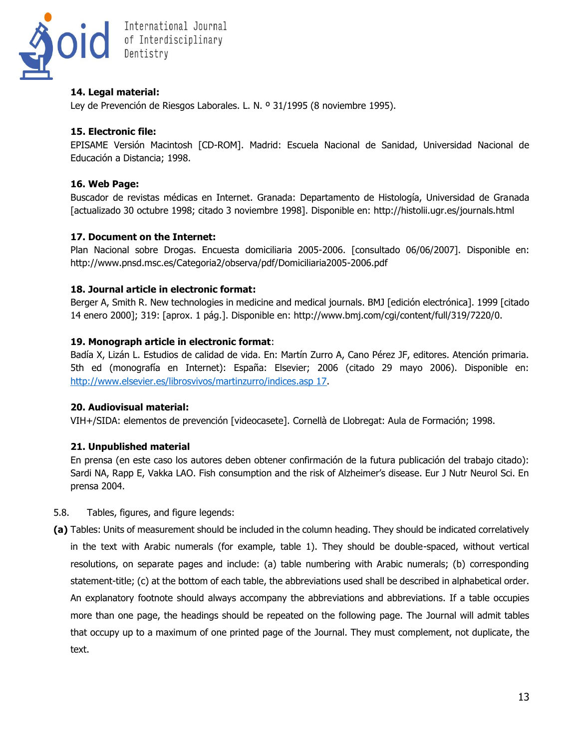

# **14. Legal material:**

Ley de Prevención de Riesgos Laborales. L. N. º 31/1995 (8 noviembre 1995).

# **15. Electronic file:**

EPISAME Versión Macintosh [CD-ROM]. Madrid: Escuela Nacional de Sanidad, Universidad Nacional de Educación a Distancia; 1998.

# **16. Web Page:**

Buscador de revistas médicas en Internet. Granada: Departamento de Histología, Universidad de Granada [actualizado 30 octubre 1998; citado 3 noviembre 1998]. Disponible en: http://histolii.ugr.es/journals.html

# **17. Document on the Internet:**

Plan Nacional sobre Drogas. Encuesta domiciliaria 2005-2006. [consultado 06/06/2007]. Disponible en: http://www.pnsd.msc.es/Categoria2/observa/pdf/Domiciliaria2005-2006.pdf

#### **18. Journal article in electronic format:**

Berger A, Smith R. New technologies in medicine and medical journals. BMJ [edición electrónica]. 1999 [citado 14 enero 2000]; 319: [aprox. 1 pág.]. Disponible en: http://www.bmj.com/cgi/content/full/319/7220/0.

#### **19. Monograph article in electronic format**:

Badía X, Lizán L. Estudios de calidad de vida. En: Martín Zurro A, Cano Pérez JF, editores. Atención primaria. 5th ed (monografía en Internet): España: Elsevier; 2006 (citado 29 mayo 2006). Disponible en: [http://www.elsevier.es/librosvivos/martinzurro/indices.asp 17.](http://www.elsevier.es/librosvivos/martinzurro/indices.asp%2017)

# **20. Audiovisual material:**

VIH+/SIDA: elementos de prevención [videocasete]. Cornellà de Llobregat: Aula de Formación; 1998.

# **21. Unpublished material**

En prensa (en este caso los autores deben obtener confirmación de la futura publicación del trabajo citado): Sardi NA, Rapp E, Vakka LAO. Fish consumption and the risk of Alzheimer's disease. Eur J Nutr Neurol Sci. En prensa 2004.

- 5.8. Tables, figures, and figure legends:
- **(a)** Tables: Units of measurement should be included in the column heading. They should be indicated correlatively in the text with Arabic numerals (for example, table 1). They should be double-spaced, without vertical resolutions, on separate pages and include: (a) table numbering with Arabic numerals; (b) corresponding statement-title; (c) at the bottom of each table, the abbreviations used shall be described in alphabetical order. An explanatory footnote should always accompany the abbreviations and abbreviations. If a table occupies more than one page, the headings should be repeated on the following page. The Journal will admit tables that occupy up to a maximum of one printed page of the Journal. They must complement, not duplicate, the text.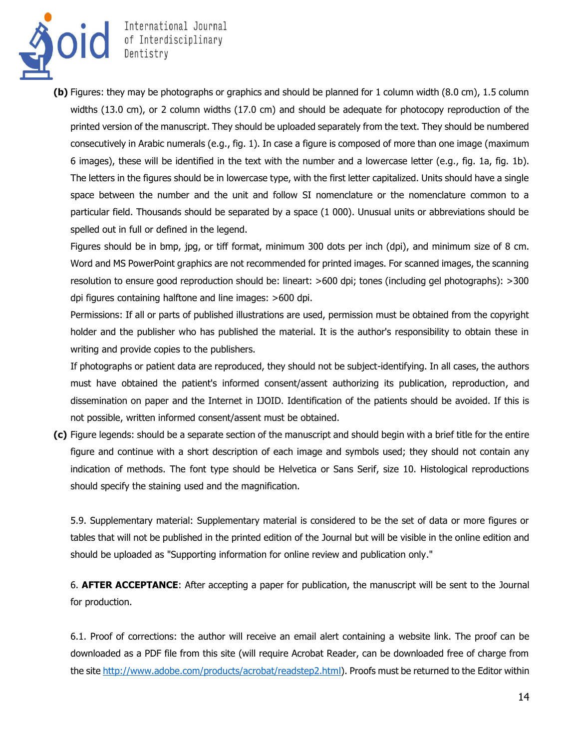

**(b)** Figures: they may be photographs or graphics and should be planned for 1 column width (8.0 cm), 1.5 column widths (13.0 cm), or 2 column widths (17.0 cm) and should be adequate for photocopy reproduction of the printed version of the manuscript. They should be uploaded separately from the text. They should be numbered consecutively in Arabic numerals (e.g., fig. 1). In case a figure is composed of more than one image (maximum 6 images), these will be identified in the text with the number and a lowercase letter (e.g., fig. 1a, fig. 1b). The letters in the figures should be in lowercase type, with the first letter capitalized. Units should have a single space between the number and the unit and follow SI nomenclature or the nomenclature common to a particular field. Thousands should be separated by a space (1 000). Unusual units or abbreviations should be spelled out in full or defined in the legend.

Figures should be in bmp, jpg, or tiff format, minimum 300 dots per inch (dpi), and minimum size of 8 cm. Word and MS PowerPoint graphics are not recommended for printed images. For scanned images, the scanning resolution to ensure good reproduction should be: lineart: >600 dpi; tones (including gel photographs): >300 dpi figures containing halftone and line images: >600 dpi.

Permissions: If all or parts of published illustrations are used, permission must be obtained from the copyright holder and the publisher who has published the material. It is the author's responsibility to obtain these in writing and provide copies to the publishers.

If photographs or patient data are reproduced, they should not be subject-identifying. In all cases, the authors must have obtained the patient's informed consent/assent authorizing its publication, reproduction, and dissemination on paper and the Internet in IJOID. Identification of the patients should be avoided. If this is not possible, written informed consent/assent must be obtained.

**(c)** Figure legends: should be a separate section of the manuscript and should begin with a brief title for the entire figure and continue with a short description of each image and symbols used; they should not contain any indication of methods. The font type should be Helvetica or Sans Serif, size 10. Histological reproductions should specify the staining used and the magnification.

5.9. Supplementary material: Supplementary material is considered to be the set of data or more figures or tables that will not be published in the printed edition of the Journal but will be visible in the online edition and should be uploaded as "Supporting information for online review and publication only."

6. **AFTER ACCEPTANCE**: After accepting a paper for publication, the manuscript will be sent to the Journal for production.

6.1. Proof of corrections: the author will receive an email alert containing a website link. The proof can be downloaded as a PDF file from this site (will require Acrobat Reader, can be downloaded free of charge from the site [http://www.adobe.com/products/acrobat/readstep2.html\)](http://www.adobe.com/products/acrobat/readstep2.html). Proofs must be returned to the Editor within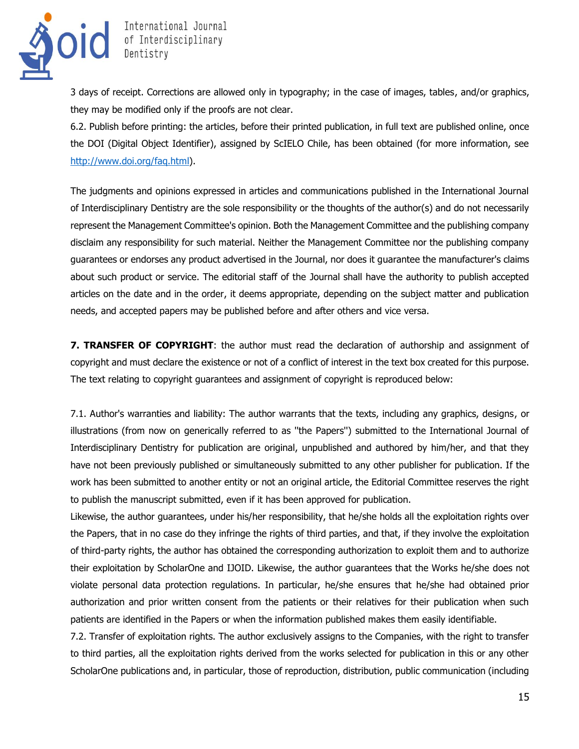

3 days of receipt. Corrections are allowed only in typography; in the case of images, tables, and/or graphics, they may be modified only if the proofs are not clear.

6.2. Publish before printing: the articles, before their printed publication, in full text are published online, once the DOI (Digital Object Identifier), assigned by ScIELO Chile, has been obtained (for more information, see [http://www.doi.org/faq.html\)](http://www.doi.org/faq.html).

The judgments and opinions expressed in articles and communications published in the International Journal of Interdisciplinary Dentistry are the sole responsibility or the thoughts of the author(s) and do not necessarily represent the Management Committee's opinion. Both the Management Committee and the publishing company disclaim any responsibility for such material. Neither the Management Committee nor the publishing company guarantees or endorses any product advertised in the Journal, nor does it guarantee the manufacturer's claims about such product or service. The editorial staff of the Journal shall have the authority to publish accepted articles on the date and in the order, it deems appropriate, depending on the subject matter and publication needs, and accepted papers may be published before and after others and vice versa.

**7. TRANSFER OF COPYRIGHT:** the author must read the declaration of authorship and assignment of copyright and must declare the existence or not of a conflict of interest in the text box created for this purpose. The text relating to copyright guarantees and assignment of copyright is reproduced below:

7.1. Author's warranties and liability: The author warrants that the texts, including any graphics, designs, or illustrations (from now on generically referred to as ''the Papers'') submitted to the International Journal of Interdisciplinary Dentistry for publication are original, unpublished and authored by him/her, and that they have not been previously published or simultaneously submitted to any other publisher for publication. If the work has been submitted to another entity or not an original article, the Editorial Committee reserves the right to publish the manuscript submitted, even if it has been approved for publication.

Likewise, the author guarantees, under his/her responsibility, that he/she holds all the exploitation rights over the Papers, that in no case do they infringe the rights of third parties, and that, if they involve the exploitation of third-party rights, the author has obtained the corresponding authorization to exploit them and to authorize their exploitation by ScholarOne and IJOID. Likewise, the author guarantees that the Works he/she does not violate personal data protection regulations. In particular, he/she ensures that he/she had obtained prior authorization and prior written consent from the patients or their relatives for their publication when such patients are identified in the Papers or when the information published makes them easily identifiable.

7.2. Transfer of exploitation rights. The author exclusively assigns to the Companies, with the right to transfer to third parties, all the exploitation rights derived from the works selected for publication in this or any other ScholarOne publications and, in particular, those of reproduction, distribution, public communication (including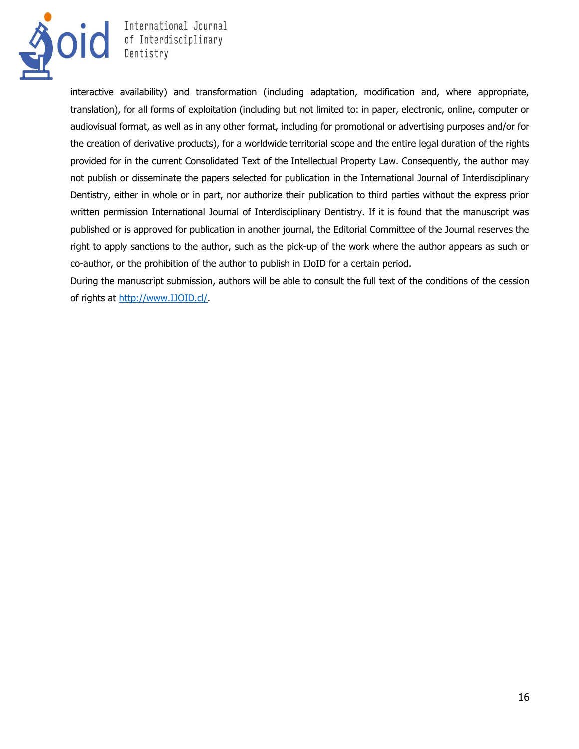

**OIC** International Journal<br>
Dentistry<br>
Dentistry International Journal

interactive availability) and transformation (including adaptation, modification and, where appropriate, translation), for all forms of exploitation (including but not limited to: in paper, electronic, online, computer or audiovisual format, as well as in any other format, including for promotional or advertising purposes and/or for the creation of derivative products), for a worldwide territorial scope and the entire legal duration of the rights provided for in the current Consolidated Text of the Intellectual Property Law. Consequently, the author may not publish or disseminate the papers selected for publication in the International Journal of Interdisciplinary Dentistry, either in whole or in part, nor authorize their publication to third parties without the express prior written permission International Journal of Interdisciplinary Dentistry. If it is found that the manuscript was published or is approved for publication in another journal, the Editorial Committee of the Journal reserves the right to apply sanctions to the author, such as the pick-up of the work where the author appears as such or co-author, or the prohibition of the author to publish in IJoID for a certain period.

During the manuscript submission, authors will be able to consult the full text of the conditions of the cession of rights at [http://www.IJOID.cl/.](http://www.ijoid.cl/)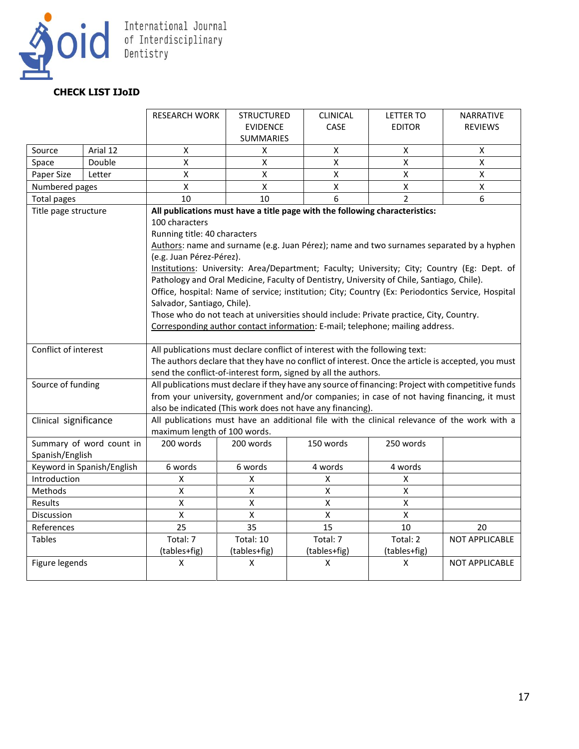

# **CHECK LIST IJoID**

|                                            |                            | <b>RESEARCH WORK</b>                                                                                                                                                 | <b>STRUCTURED</b> | <b>CLINICAL</b>    | <b>LETTER TO</b>   | <b>NARRATIVE</b>   |  |  |  |
|--------------------------------------------|----------------------------|----------------------------------------------------------------------------------------------------------------------------------------------------------------------|-------------------|--------------------|--------------------|--------------------|--|--|--|
|                                            |                            |                                                                                                                                                                      | <b>EVIDENCE</b>   | CASE               | <b>EDITOR</b>      | <b>REVIEWS</b>     |  |  |  |
|                                            |                            |                                                                                                                                                                      | <b>SUMMARIES</b>  |                    |                    |                    |  |  |  |
| Source                                     | Arial 12                   | $\pmb{\mathsf{X}}$                                                                                                                                                   | x                 | $\pmb{\mathsf{X}}$ | $\pmb{\mathsf{X}}$ | $\pmb{\times}$     |  |  |  |
| Space                                      | Double                     | $\pmb{\mathsf{X}}$                                                                                                                                                   | X                 | $\pmb{\times}$     | X                  | $\pmb{\mathsf{X}}$ |  |  |  |
| Paper Size                                 | Letter                     | $\pmb{\mathsf{X}}$                                                                                                                                                   | Χ                 | $\pmb{\mathsf{X}}$ | X                  | X                  |  |  |  |
| Numbered pages                             |                            | $\pmb{\mathsf{X}}$                                                                                                                                                   | X                 | X                  | X                  | $\pmb{\mathsf{X}}$ |  |  |  |
| <b>Total pages</b>                         |                            | 10                                                                                                                                                                   | 10                | 6                  | $\mathfrak{p}$     | 6                  |  |  |  |
| Title page structure                       |                            | All publications must have a title page with the following characteristics:                                                                                          |                   |                    |                    |                    |  |  |  |
|                                            |                            | 100 characters                                                                                                                                                       |                   |                    |                    |                    |  |  |  |
|                                            |                            | Running title: 40 characters                                                                                                                                         |                   |                    |                    |                    |  |  |  |
|                                            |                            | Authors: name and surname (e.g. Juan Pérez); name and two surnames separated by a hyphen                                                                             |                   |                    |                    |                    |  |  |  |
|                                            |                            | (e.g. Juan Pérez-Pérez).                                                                                                                                             |                   |                    |                    |                    |  |  |  |
|                                            |                            | Institutions: University: Area/Department; Faculty; University; City; Country (Eg: Dept. of                                                                          |                   |                    |                    |                    |  |  |  |
|                                            |                            | Pathology and Oral Medicine, Faculty of Dentistry, University of Chile, Santiago, Chile).                                                                            |                   |                    |                    |                    |  |  |  |
|                                            |                            | Office, hospital: Name of service; institution; City; Country (Ex: Periodontics Service, Hospital                                                                    |                   |                    |                    |                    |  |  |  |
|                                            |                            | Salvador, Santiago, Chile).                                                                                                                                          |                   |                    |                    |                    |  |  |  |
|                                            |                            | Those who do not teach at universities should include: Private practice, City, Country.                                                                              |                   |                    |                    |                    |  |  |  |
|                                            |                            | Corresponding author contact information: E-mail; telephone; mailing address.                                                                                        |                   |                    |                    |                    |  |  |  |
|                                            |                            |                                                                                                                                                                      |                   |                    |                    |                    |  |  |  |
| Conflict of interest                       |                            | All publications must declare conflict of interest with the following text:                                                                                          |                   |                    |                    |                    |  |  |  |
|                                            |                            | The authors declare that they have no conflict of interest. Once the article is accepted, you must<br>send the conflict-of-interest form, signed by all the authors. |                   |                    |                    |                    |  |  |  |
|                                            |                            |                                                                                                                                                                      |                   |                    |                    |                    |  |  |  |
| Source of funding<br>Clinical significance |                            | All publications must declare if they have any source of financing: Project with competitive funds                                                                   |                   |                    |                    |                    |  |  |  |
|                                            |                            | from your university, government and/or companies; in case of not having financing, it must<br>also be indicated (This work does not have any financing).            |                   |                    |                    |                    |  |  |  |
|                                            |                            | All publications must have an additional file with the clinical relevance of the work with a                                                                         |                   |                    |                    |                    |  |  |  |
|                                            |                            | maximum length of 100 words.                                                                                                                                         |                   |                    |                    |                    |  |  |  |
|                                            | Summary of word count in   | 200 words                                                                                                                                                            | 200 words         | 150 words          | 250 words          |                    |  |  |  |
| Spanish/English                            |                            |                                                                                                                                                                      |                   |                    |                    |                    |  |  |  |
|                                            | Keyword in Spanish/English | 6 words                                                                                                                                                              | 6 words           | 4 words            | 4 words            |                    |  |  |  |
| Introduction                               |                            | $\pmb{\mathsf{X}}$                                                                                                                                                   | X                 | $\pmb{\mathsf{X}}$ | $\pmb{\mathsf{X}}$ |                    |  |  |  |
| Methods                                    |                            | X                                                                                                                                                                    | X                 | Χ                  | X                  |                    |  |  |  |
| Results                                    |                            | $\pmb{\mathsf{X}}$                                                                                                                                                   | X                 | $\pmb{\mathsf{X}}$ | $\mathsf{X}% _{0}$ |                    |  |  |  |
| <b>Discussion</b>                          |                            | $\mathsf{\overline{X}}$                                                                                                                                              | $\mathsf{X}$      | $\mathsf X$        | $\mathsf X$        |                    |  |  |  |
| References                                 |                            | 25                                                                                                                                                                   | 35                | 15                 | 10                 | 20                 |  |  |  |
| <b>Tables</b>                              |                            | Total: 7                                                                                                                                                             | Total: 10         | Total: 7           | Total: 2           | NOT APPLICABLE     |  |  |  |
|                                            |                            | (tables+fig)                                                                                                                                                         | (tables+fig)      | (tables+fig)       | (tables+fig)       |                    |  |  |  |
| Figure legends                             |                            | X                                                                                                                                                                    | x                 | X                  | Χ                  | NOT APPLICABLE     |  |  |  |
|                                            |                            |                                                                                                                                                                      |                   |                    |                    |                    |  |  |  |